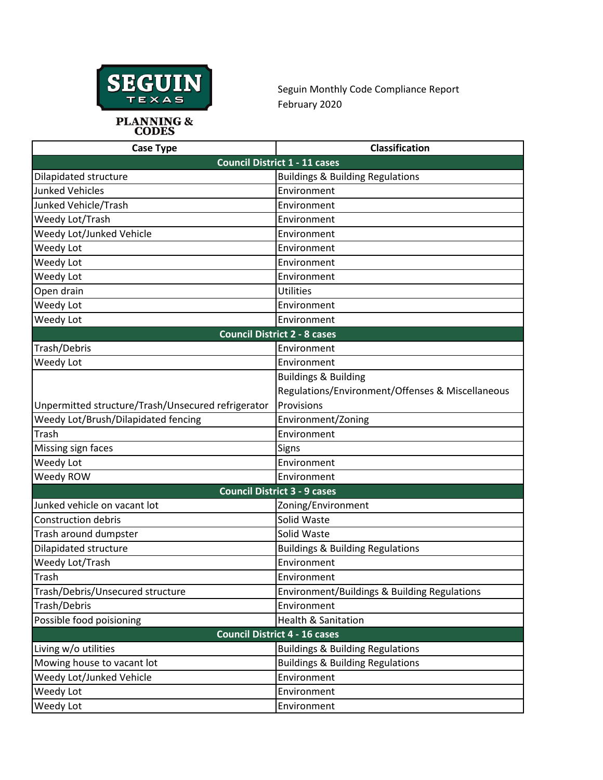

Seguin Monthly Code Compliance Report February 2020

**PLANNING &<br>CODES** 

| <b>Case Type</b>                                   | Classification                                   |  |
|----------------------------------------------------|--------------------------------------------------|--|
| <b>Council District 1 - 11 cases</b>               |                                                  |  |
| Dilapidated structure                              | <b>Buildings &amp; Building Regulations</b>      |  |
| <b>Junked Vehicles</b>                             | Environment                                      |  |
| Junked Vehicle/Trash                               | Environment                                      |  |
| Weedy Lot/Trash                                    | Environment                                      |  |
| Weedy Lot/Junked Vehicle                           | Environment                                      |  |
| Weedy Lot                                          | Environment                                      |  |
| Weedy Lot                                          | Environment                                      |  |
| Weedy Lot                                          | Environment                                      |  |
| Open drain                                         | <b>Utilities</b>                                 |  |
| Weedy Lot                                          | Environment                                      |  |
| Weedy Lot                                          | Environment                                      |  |
| <b>Council District 2 - 8 cases</b>                |                                                  |  |
| Trash/Debris                                       | Environment                                      |  |
| Weedy Lot                                          | Environment                                      |  |
|                                                    | <b>Buildings &amp; Building</b>                  |  |
|                                                    | Regulations/Environment/Offenses & Miscellaneous |  |
| Unpermitted structure/Trash/Unsecured refrigerator | Provisions                                       |  |
| Weedy Lot/Brush/Dilapidated fencing                | Environment/Zoning                               |  |
| Trash                                              | Environment                                      |  |
| Missing sign faces                                 | Signs                                            |  |
| Weedy Lot                                          | Environment                                      |  |
| Weedy ROW                                          | Environment                                      |  |
|                                                    | <b>Council District 3 - 9 cases</b>              |  |
| Junked vehicle on vacant lot                       | Zoning/Environment                               |  |
| <b>Construction debris</b>                         | Solid Waste                                      |  |
| Trash around dumpster                              | Solid Waste                                      |  |
| Dilapidated structure                              | <b>Buildings &amp; Building Regulations</b>      |  |
| Weedy Lot/Trash                                    | Environment                                      |  |
| Trash                                              | Environment                                      |  |
| Trash/Debris/Unsecured structure                   | Environment/Buildings & Building Regulations     |  |
| Trash/Debris                                       | Environment                                      |  |
| Possible food poisioning                           | Health & Sanitation                              |  |
| <b>Council District 4 - 16 cases</b>               |                                                  |  |
| Living w/o utilities                               | <b>Buildings &amp; Building Regulations</b>      |  |
| Mowing house to vacant lot                         | <b>Buildings &amp; Building Regulations</b>      |  |
| Weedy Lot/Junked Vehicle                           | Environment                                      |  |
| Weedy Lot                                          | Environment                                      |  |
| Weedy Lot                                          | Environment                                      |  |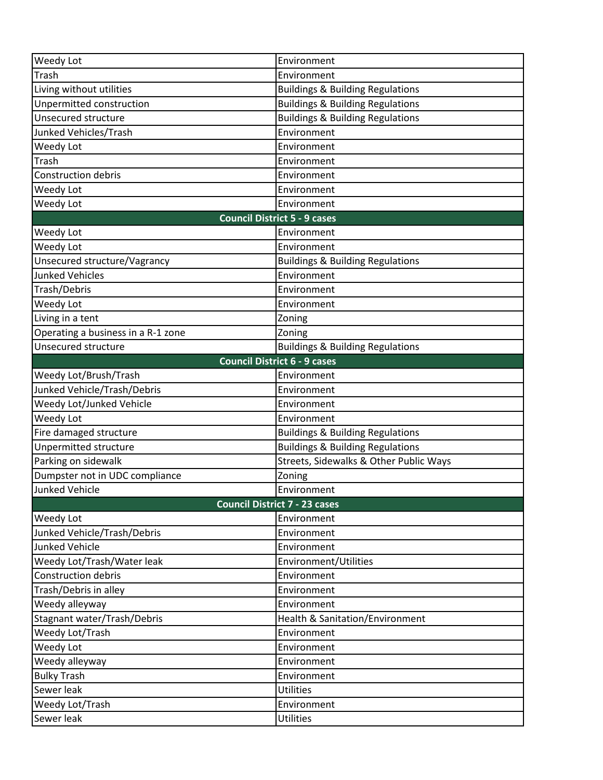| Weedy Lot                            | Environment                                 |  |
|--------------------------------------|---------------------------------------------|--|
| Trash                                | Environment                                 |  |
| Living without utilities             | <b>Buildings &amp; Building Regulations</b> |  |
| Unpermitted construction             | <b>Buildings &amp; Building Regulations</b> |  |
| <b>Unsecured structure</b>           | <b>Buildings &amp; Building Regulations</b> |  |
| Junked Vehicles/Trash                | Environment                                 |  |
| Weedy Lot                            | Environment                                 |  |
| Trash                                | Environment                                 |  |
| <b>Construction debris</b>           | Environment                                 |  |
| Weedy Lot                            | Environment                                 |  |
| Weedy Lot                            | Environment                                 |  |
| <b>Council District 5 - 9 cases</b>  |                                             |  |
| Weedy Lot                            | Environment                                 |  |
| Weedy Lot                            | Environment                                 |  |
| Unsecured structure/Vagrancy         | <b>Buildings &amp; Building Regulations</b> |  |
| <b>Junked Vehicles</b>               | Environment                                 |  |
| Trash/Debris                         | Environment                                 |  |
| Weedy Lot                            | Environment                                 |  |
| Living in a tent                     | Zoning                                      |  |
| Operating a business in a R-1 zone   | Zoning                                      |  |
| Unsecured structure                  | <b>Buildings &amp; Building Regulations</b> |  |
|                                      | <b>Council District 6 - 9 cases</b>         |  |
| Weedy Lot/Brush/Trash                | Environment                                 |  |
| Junked Vehicle/Trash/Debris          | Environment                                 |  |
| Weedy Lot/Junked Vehicle             | Environment                                 |  |
| Weedy Lot                            | Environment                                 |  |
| Fire damaged structure               | <b>Buildings &amp; Building Regulations</b> |  |
| Unpermitted structure                | <b>Buildings &amp; Building Regulations</b> |  |
| Parking on sidewalk                  | Streets, Sidewalks & Other Public Ways      |  |
| Dumpster not in UDC compliance       | Zoning                                      |  |
| Junked Vehicle                       | Environment                                 |  |
| <b>Council District 7 - 23 cases</b> |                                             |  |
| Weedy Lot                            | Environment                                 |  |
| Junked Vehicle/Trash/Debris          | Environment                                 |  |
| <b>Junked Vehicle</b>                | Environment                                 |  |
| Weedy Lot/Trash/Water leak           | Environment/Utilities                       |  |
| <b>Construction debris</b>           | Environment                                 |  |
| Trash/Debris in alley                | Environment                                 |  |
| Weedy alleyway                       | Environment                                 |  |
| Stagnant water/Trash/Debris          | Health & Sanitation/Environment             |  |
| Weedy Lot/Trash                      | Environment                                 |  |
| Weedy Lot                            |                                             |  |
| Weedy alleyway                       | Environment                                 |  |
|                                      | Environment                                 |  |
| <b>Bulky Trash</b>                   | Environment                                 |  |
| Sewer leak                           | Utilities                                   |  |
| Weedy Lot/Trash<br>Sewer leak        | Environment<br><b>Utilities</b>             |  |